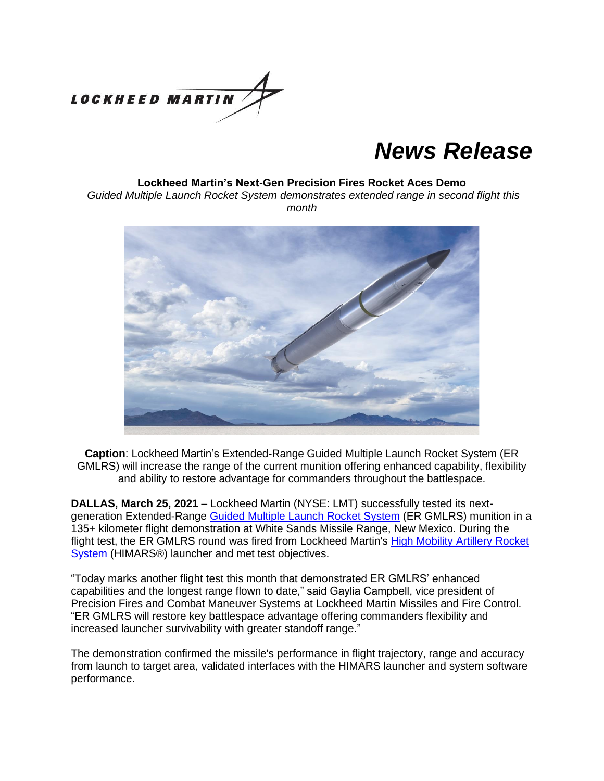

# *News Release*

#### **Lockheed Martin's Next-Gen Precision Fires Rocket Aces Demo**

*Guided Multiple Launch Rocket System demonstrates extended range in second flight this month*



**Caption**: Lockheed Martin's Extended-Range Guided Multiple Launch Rocket System (ER GMLRS) will increase the range of the current munition offering enhanced capability, flexibility and ability to restore advantage for commanders throughout the battlespace.

**DALLAS, March 25, 2021** – Lockheed Martin (NYSE: LMT) successfully tested its nextgeneration Extended-Range Guided Multiple [Launch Rocket System](https://www.lockheedmartin.com/en-us/products/guided-mlrs-unitary-rocket.html) (ER GMLRS) munition in a 135+ kilometer flight demonstration at White Sands Missile Range, New Mexico. During the flight test, the ER GMLRS round was fired from Lockheed Martin's [High Mobility Artillery Rocket](https://www.lockheedmartin.com/en-us/products/high-mobility-artillery-rocket-system.html)  [System](https://www.lockheedmartin.com/en-us/products/high-mobility-artillery-rocket-system.html) (HIMARS®) launcher and met test objectives.

"Today marks another flight test this month that demonstrated ER GMLRS' enhanced capabilities and the longest range flown to date," said Gaylia Campbell, vice president of Precision Fires and Combat Maneuver Systems at Lockheed Martin Missiles and Fire Control. "ER GMLRS will restore key battlespace advantage offering commanders flexibility and increased launcher survivability with greater standoff range."

The demonstration confirmed the missile's performance in flight trajectory, range and accuracy from launch to target area, validated interfaces with the HIMARS launcher and system software performance.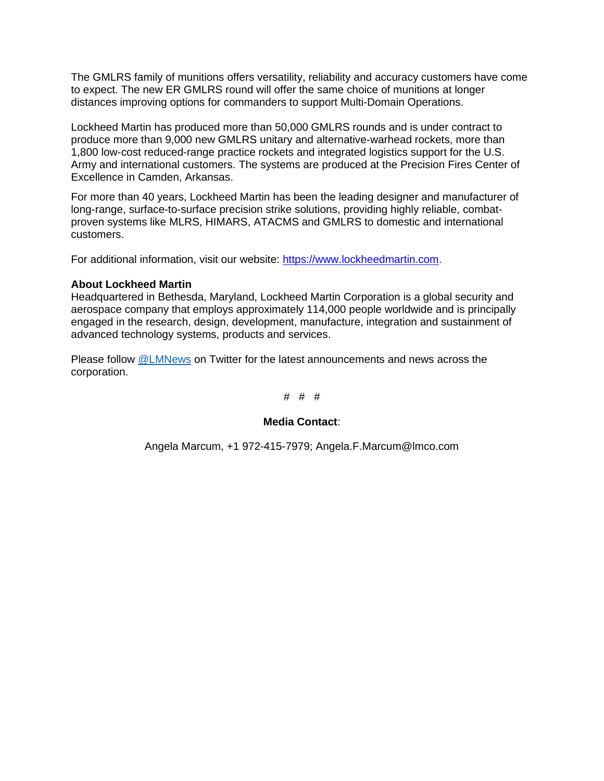The GMLRS family of munitions offers versatility, reliability and accuracy customers have come to expect. The new ER GMLRS round will offer the same choice of munitions at longer distances improving options for commanders to support Multi-Domain Operations.

Lockheed Martin has produced more than 50,000 GMLRS rounds and is under contract to produce more than 9,000 new GMLRS unitary and alternative-warhead rockets, more than 1,800 low-cost reduced-range practice rockets and integrated logistics support for the U.S. Army and international customers. The systems are produced at the Precision Fires Center of Excellence in Camden, Arkansas.

For more than 40 years, Lockheed Martin has been the leading designer and manufacturer of long-range, surface-to-surface precision strike solutions, providing highly reliable, combatproven systems like MLRS, HIMARS, ATACMS and GMLRS to domestic and international customers.

For additional information, visit our website: [https://www.lockheedmartin.com.](https://www.lockheedmartin.com/en-us/products/high-mobility-artillery-rocket-system.html)

## **About Lockheed Martin**

Headquartered in Bethesda, Maryland, Lockheed Martin Corporation is a global security and aerospace company that employs approximately 114,000 people worldwide and is principally engaged in the research, design, development, manufacture, integration and sustainment of advanced technology systems, products and services.

Please follow [@LMNews](https://twitter.com/lmnews) on Twitter for the latest announcements and news across the corporation.

### # # #

## **Media Contact**:

Angela Marcum, +1 972-415-7979; Angela.F.Marcum@lmco.com